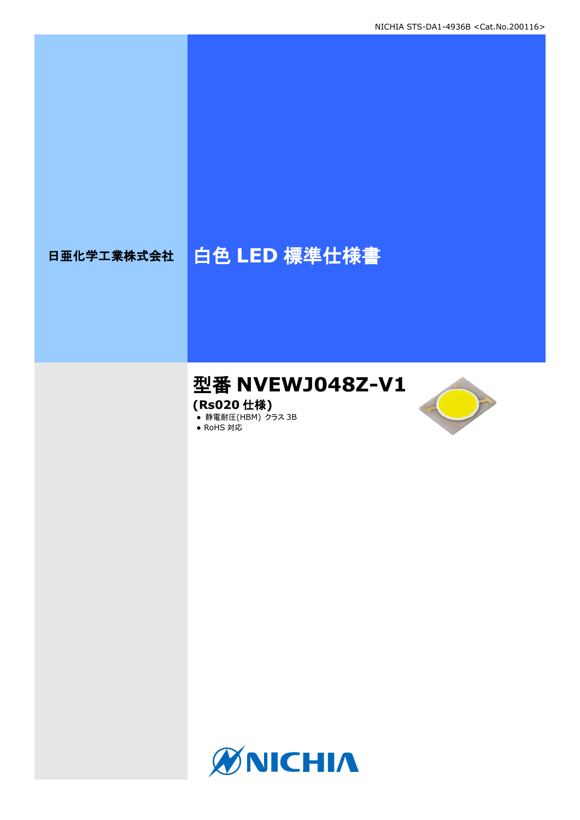# 日亜化学工業株式会社 | 白色 LED 標準仕様書

## 型番 **NVEWJ048Z-V1**

**(Rs020** 仕様**)**

**● 静電耐圧(HBM) クラス 3B** 





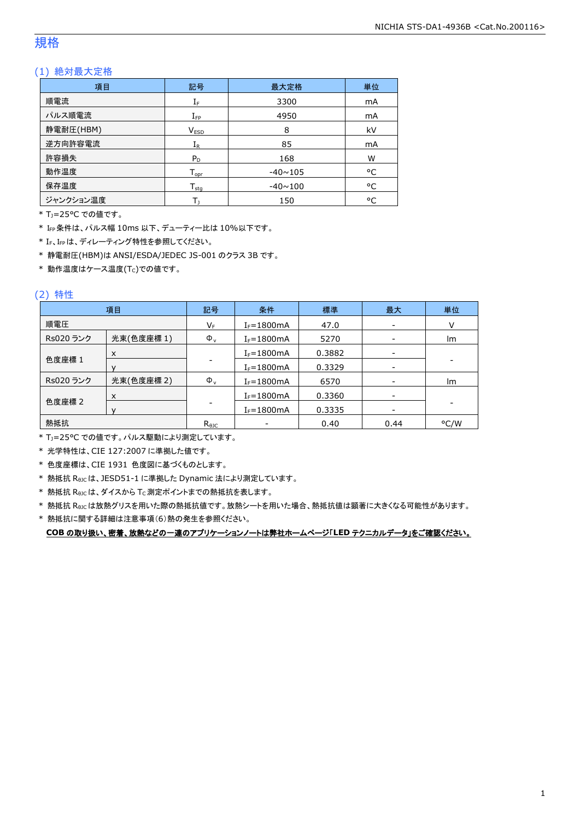### 規格

### (1) 絶対最大定格

| 項目        | 記号                           | 最大定格           | 単位 |
|-----------|------------------------------|----------------|----|
| 順電流       | $\mathrm{I}_\mathrm{F}$      | 3300           | mA |
| パルス順電流    | $I_{\text{FP}}$              | 4950           | mA |
| 静電耐圧(HBM) | V <sub>ESD</sub>             | 8              | kV |
| 逆方向許容電流   | $I_{R}$                      | 85             | mA |
| 許容損失      | $P_D$                        | 168            | W  |
| 動作温度      | ${\mathsf T}_{\textsf{opr}}$ | $-40 \sim 105$ | °C |
| 保存温度      | $T_{\text{stq}}$             | $-40 \sim 100$ | °C |
| ジャンクション温度 | т.                           | 150            | °C |

\* TJ=25°C での値です。

\* IFP条件は、パルス幅 10ms 以下、デューティー比は 10%以下です。

\* IF、IFPは、ディレーティング特性を参照してください。

\* 静電耐圧(HBM)は ANSI/ESDA/JEDEC JS-001 のクラス 3B です。

 $*$ 動作温度はケース温度(Tc)での値です。

### (2) 特性

|           | 項目         | 記号             | 条件             | 標準     | 最大                       | 単位   |
|-----------|------------|----------------|----------------|--------|--------------------------|------|
| 順電圧       |            | VF             | $I_F = 1800mA$ | 47.0   | $\overline{\phantom{a}}$ |      |
| Rs020 ランク | 光束(色度座標1)  | $\Phi_{\rm v}$ | $I_F = 1800mA$ | 5270   |                          | Im   |
|           | X          |                | $I_F = 1800mA$ | 0.3882 |                          |      |
| 色度座標 1    |            | $I_F = 1800mA$ | 0.3329         |        |                          |      |
| Rs020 ランク | 光束(色度座標 2) | $\Phi_{\rm v}$ | $I_F = 1800mA$ | 6570   |                          | Im   |
|           | X          |                | $I_F = 1800mA$ | 0.3360 | $\qquad \qquad$          |      |
| 色度座標 2    |            |                | $I_F = 1800mA$ | 0.3335 | ۰                        |      |
| 熱抵抗       |            | $R_{\theta$ JC |                | 0.40   | 0.44                     | °C/W |

\* TJ=25°C での値です。パルス駆動により測定しています。

\* 光学特性は、CIE 127:2007 に準拠した値です。

\* 色度座標は、CIE 1931 色度図に基づくものとします。

\* 熱抵抗 RθJCは、JESD51-1 に準拠した Dynamic 法により測定しています。

 $*$  熱抵抗  $R_{\theta JC}$ は、ダイスから Tc 測定ポイントまでの熱抵抗を表します。

\* 熱抵抗 RθJCは放熱グリスを用いた際の熱抵抗値です。放熱シートを用いた場合、熱抵抗値は顕著に大きくなる可能性があります。

\* 熱抵抗に関する詳細は注意事項(6)熱の発生を参照ください。

**COB** の取り扱い、密着、放熱などの一連のアプリケーションノートは弊社ホームページ「**LED** テクニカルデータ」をご確認ください。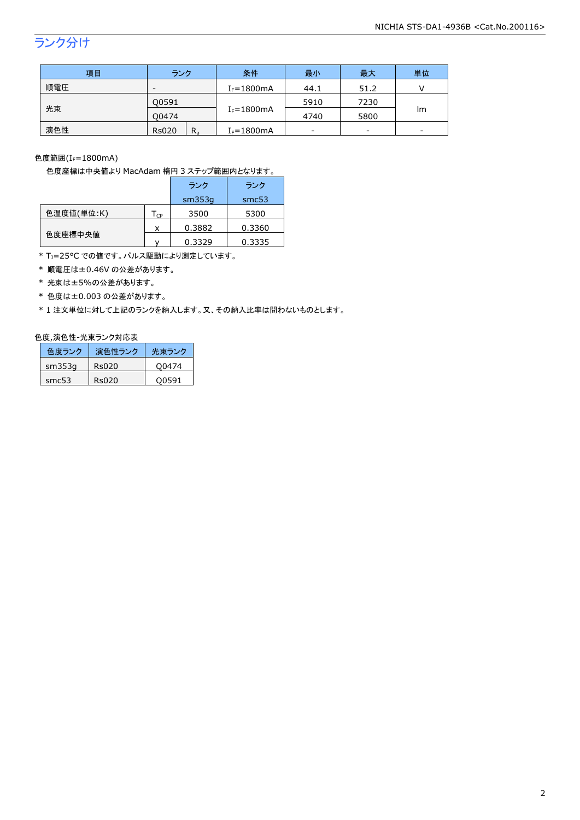## ランク分け

| 項目  | ランク                     | 条件             | 最小   | 最大   | 単位 |
|-----|-------------------------|----------------|------|------|----|
| 順電圧 | $I_F = 1800mA$<br>-     |                | 44.1 | 51.2 |    |
|     | Q0591                   |                | 5910 | 7230 |    |
| 光束  | 00474                   | $I_F = 1800mA$ | 4740 | 5800 | Im |
| 演色性 | <b>Rs020</b><br>$R_{a}$ | $I_F = 1800mA$ | -    | -    | -  |

色度範囲 $(I_f=1800$ mA)

色度座標は中央値より MacAdam 楕円 3 ステップ範囲内となります。

|            |                            | ランク    | ランク    |
|------------|----------------------------|--------|--------|
|            |                            | sm353q | smc53  |
| 色温度値(単位:K) | $\mathsf{T}_{\mathsf{CP}}$ | 3500   | 5300   |
|            | x                          | 0.3882 | 0.3360 |
| 色度座標中央値    |                            | 0.3329 | 0.3335 |

\* T<sub>J</sub>=25°C での値です。パルス駆動により測定しています。

\* 順電圧は±0.46V の公差があります。

\* 光束は±5%の公差があります。

\* 色度は±0.003 の公差があります。

\* 1 注文単位に対して上記のランクを納入します。又、その納入比率は問わないものとします。

### 色度,演色性-光束ランク対応表

| 色度ランク  | 演色性ランク | 光東ランク |
|--------|--------|-------|
| sm353q | Rs020  | O0474 |
| smc53  | Rs020  | O0591 |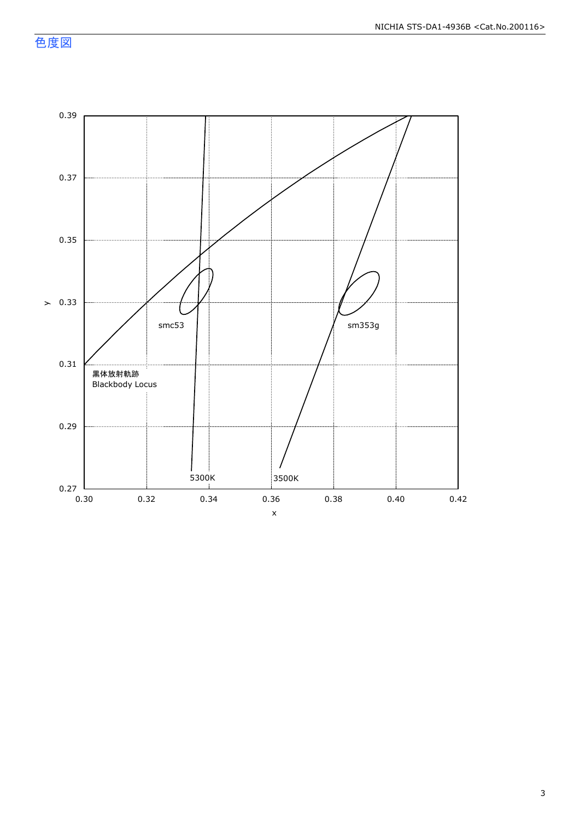色度図

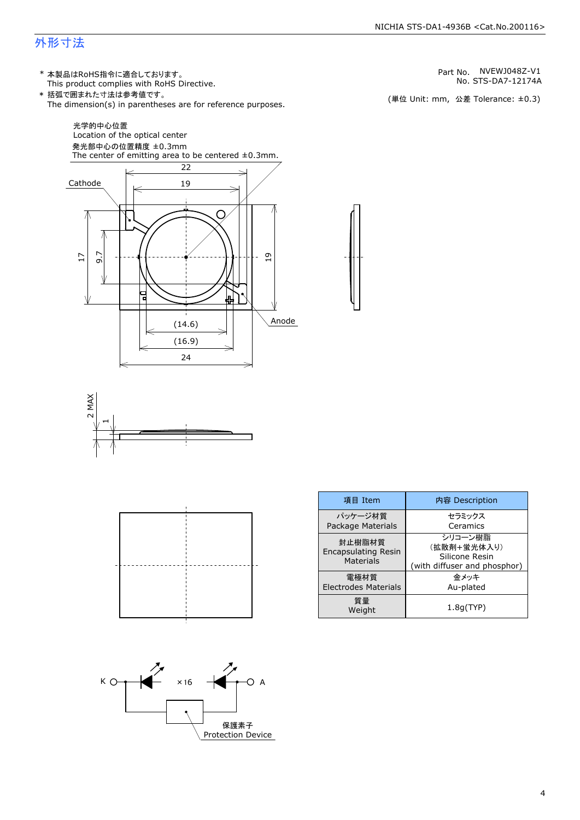### 外形寸法

(単位 Unit: mm) This product complies with RoHS Directive. \* 本製品はRoHS指令に適合しております。 (単位 Unit: mm, 公差 Tolerance: ±0.3) STS-DA7-12174A NVEWJ048Z-V1 The dimension(s) in parentheses are for reference purposes. \* 括弧で囲まれた寸法は参考値です。 No. Part No.







| 項目 Item                                           | 内容 Description                                                           |
|---------------------------------------------------|--------------------------------------------------------------------------|
| パッケージ材質<br>Package Materials                      | セラミックス<br>Ceramics                                                       |
| 封止樹脂材質<br><b>Encapsulating Resin</b><br>Materials | シリコーン樹脂<br>(拡散剤+蛍光体入り)<br>Silicone Resin<br>(with diffuser and phosphor) |
| 雷極材質<br><b>Electrodes Materials</b>               | 金メッキ<br>Au-plated                                                        |
| 質量<br>Weight                                      | 1.8q(TYP)                                                                |

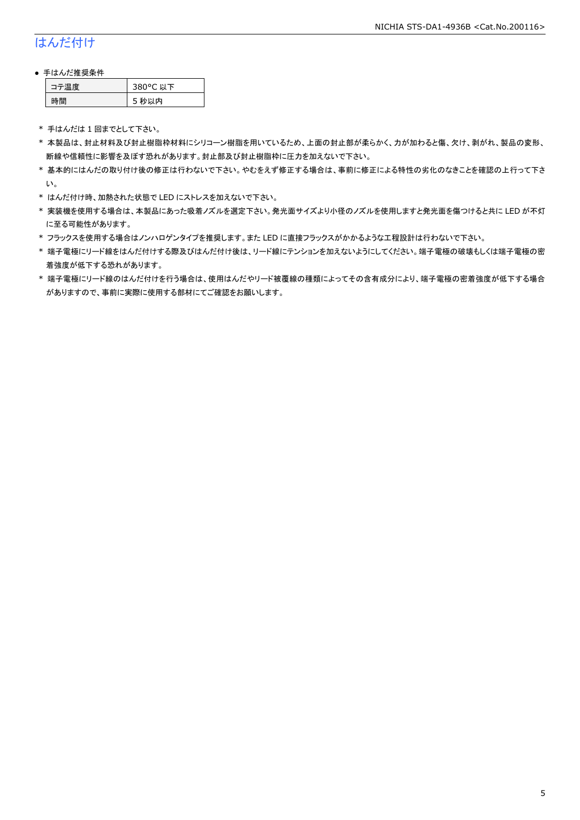### はんだ付け

### ● 手はんだ推奨条件

| →"烏庫」 | 380°C 以下 |
|-------|----------|
| .間    | 5 秒以内    |

\* 手はんだは 1 回までとして下さい。

- \* 本製品は、封止材料及び封止樹脂枠材料にシリコーン樹脂を用いているため、上面の封止部が柔らかく、力が加わると傷、欠け、剥がれ、製品の変形、 断線や信頼性に影響を及ぼす恐れがあります。封止部及び封止樹脂枠に圧力を加えないで下さい。
- \* 基本的にはんだの取り付け後の修正は行わないで下さい。やむをえず修正する場合は、事前に修正による特性の劣化のなきことを確認の上行って下さ い。
- \* はんだ付け時、加熱された状態で LED にストレスを加えないで下さい。
- \* 実装機を使用する場合は、本製品にあった吸着ノズルを選定下さい。発光面サイズより小径のノズルを使用しますと発光面を傷つけると共に LED が不灯 に至る可能性があります。
- \* フラックスを使用する場合はノンハロゲンタイプを推奨します。また LED に直接フラックスがかかるような工程設計は行わないで下さい。
- \* 端子電極にリード線をはんだ付けする際及びはんだ付け後は、リード線にテンションを加えないようにしてください。端子電極の破壊もしくは端子電極の密 着強度が低下する恐れがあります。
- \* 端子電極にリード線のはんだ付けを行う場合は、使用はんだやリード被覆線の種類によってその含有成分により、端子電極の密着強度が低下する場合 がありますので、事前に実際に使用する部材にてご確認をお願いします。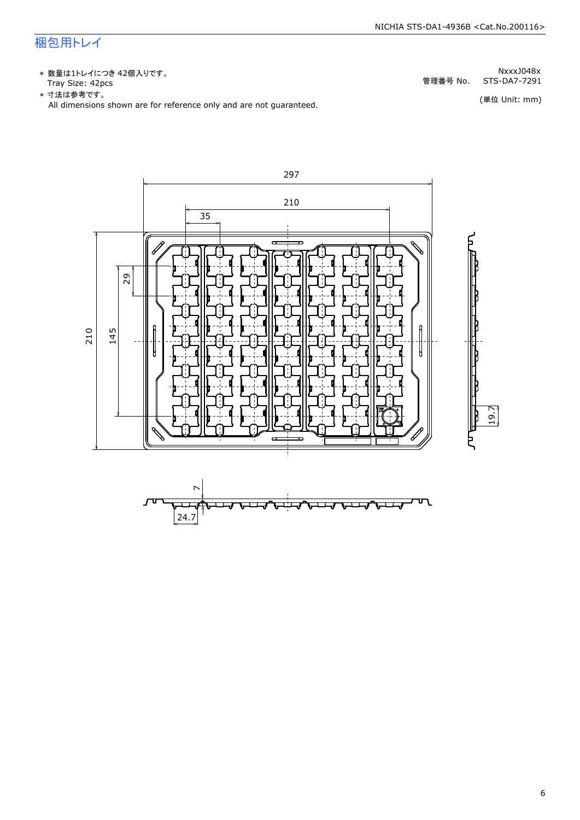### 梱包用トレイ

\* 数量は1トレイにつき 42個入りです。<br>Tray Size: 42pcs

\* 数量は1トレイにつき 42個入りです。<br>Tray Size: 42pcs<br>\* 寸法は参考です。<br>All dimensions shown are for reference only and are not guaranteed. \* づ法は参考です。

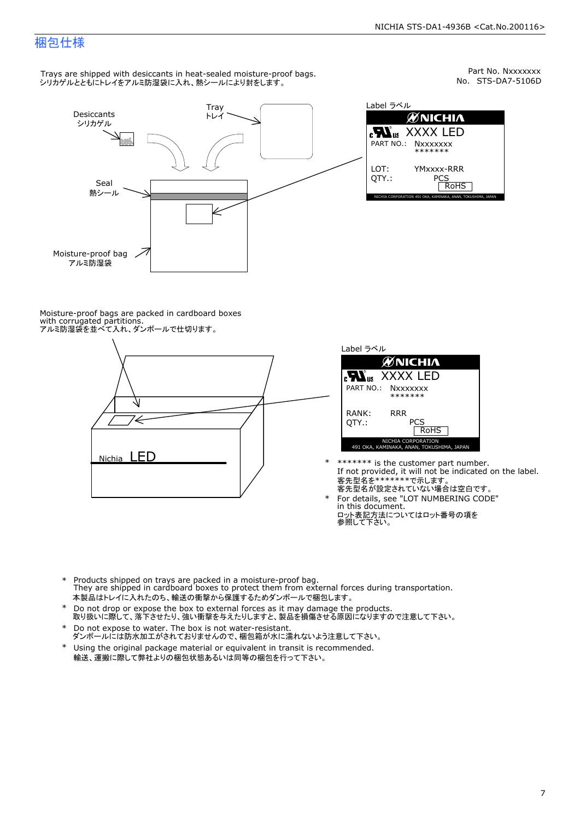Part No. Nxxxxxxx<br>No. STS-DA7-5106D

### 梱包仕様

Trays are shipped with desiccants in heat-sealed moisture-proof bags. シリカゲルとともにトレイをアルミ防湿袋に入れ、熱シールにより封をします。



Label ラベル  $\mathscr{U}$ NICHIA  $\begin{array}{lll} \text{cN}_{\text{us}} & \text{XXXX} & \text{LED} \\ \text{part no.:} & \text{Nxxxxxxx} \\ \text{LOT:} & \text{YMxxxx-RRR} \\ \text{QTY.:} & & \text{PCS} \\ \hline & \text{ROHS} \end{array}$ NICHIA CORPORATION <sup>491</sup> OKA, KAMINAKA, ANAN, TOKUSHIMA, JAPAN LOT: QTY.: YMxxxx-RRR PCS PART NO.:

Moisture-proof bags are packed in cardboard boxes with corrugated partitions. アルミ防湿袋を並べて入れ、ダンボールで仕切ります。





- \* \*\*\*\*\*\*\* is the customer part number.<br>If not provided, it will not be indicated on the label.<br>客先型名が設定されていない場合は空白です。
- For details, see "LOT NUMBERING CODE"<br>in this document.<br>ロット表記方法についてはロット番号の項を<br>参照して下さい。
- \* Products shipped on trays are packed in a moisture-proof bag.<br>They are shipped in cardboard boxes to protect them from external forces during transportation.<br>本製品はトレイに入れたのち、輸送の衝撃から保護するためダンボールで梱包します。<br>\* Do not drop or exp 本製品はトレイに入れたのち、輸送の衝撃から保護するためダンボールで梱包します。
- Do not drop or expose the box to external forces as it may damage the products. \*
- 取り扱いに際して、落下させたり、強い衝撃を与えたりしますと、製品を損傷させる原因になりますので注意して下さい。 Do not expose to water. The box is not water-resistant. \*
- ダンボールには防水加工がされておりませんので、梱包箱が水に濡れないよう注意して下さい。 \*
- 輸送、運搬に際して弊社よりの梱包状態あるいは同等の梱包を行って下さい。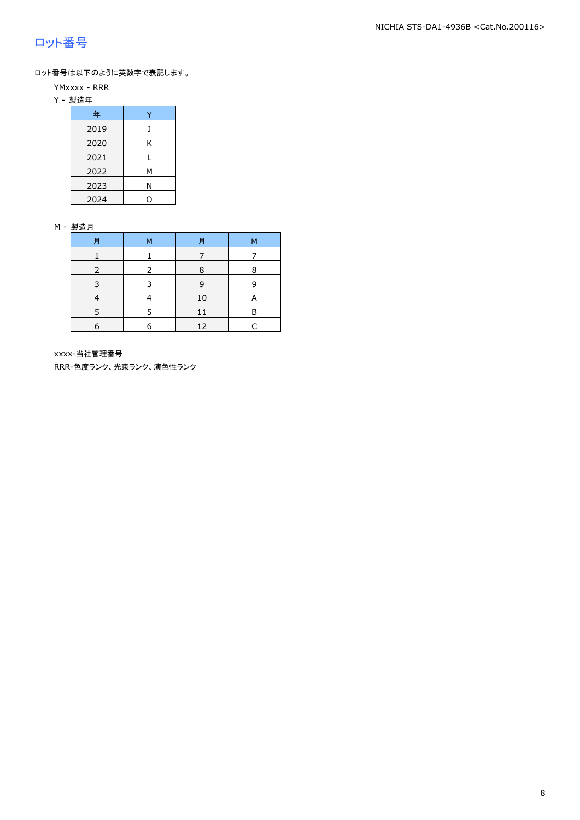### ロット番号

ロット番号は以下のように英数字で表記します。

- YMxxxx RRR
- Y 製造年

| 年    |   |  |  |  |  |
|------|---|--|--|--|--|
| 2019 |   |  |  |  |  |
| 2020 | Κ |  |  |  |  |
| 2021 |   |  |  |  |  |
| 2022 | м |  |  |  |  |
| 2023 | Ν |  |  |  |  |
| 2024 |   |  |  |  |  |

#### M - 製造月

| 月 | м | 月  | М |
|---|---|----|---|
|   |   |    |   |
|   |   | 8  | 8 |
|   |   | 9  | q |
|   |   | 10 | A |
|   |   |    | F |
| 6 | F | 12 |   |

xxxx-当社管理番号

RRR-色度ランク、光束ランク、演色性ランク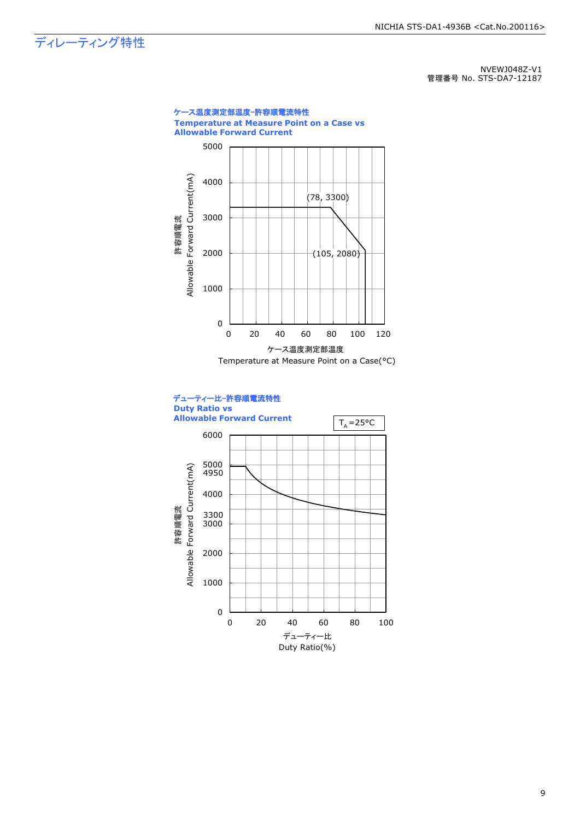ディレーティング特性

NVEWJ048Z-V1 管理番号 No. STS-DA7-12187



9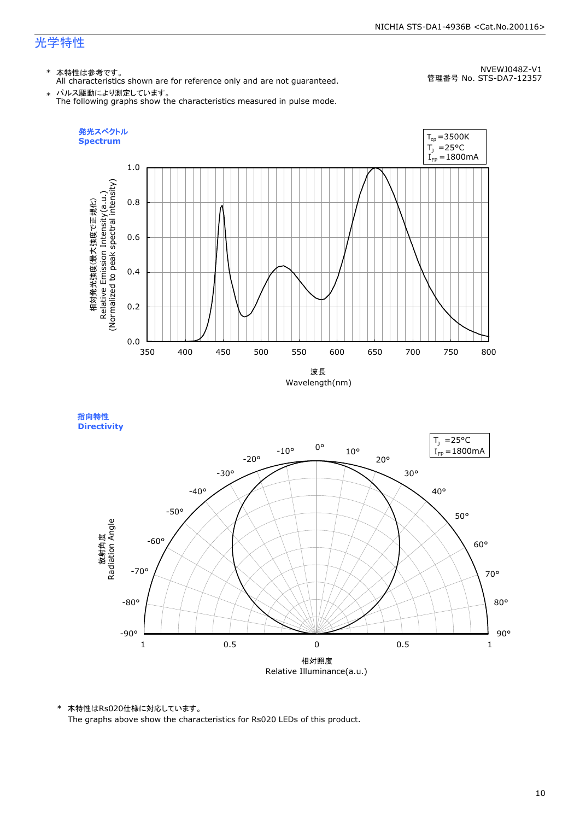#### NICHIA STS-DA1-4936B <Cat.No.200116>

### 光学特性

### \* 本特性は参考です。

All characteristics shown are for reference only and are not guaranteed.

NVEWJ048Z-V1 管理番号 No. STS-DA7-12357

 $\;\ast\;$  パルス駆動により測定しています。<br>The following graphs show the characteristics measured in pulse mode.



指向特性 **Directivity** 



\* 本特性はRs020仕様に対応しています。

The graphs above show the characteristics for Rs020 LEDs of this product.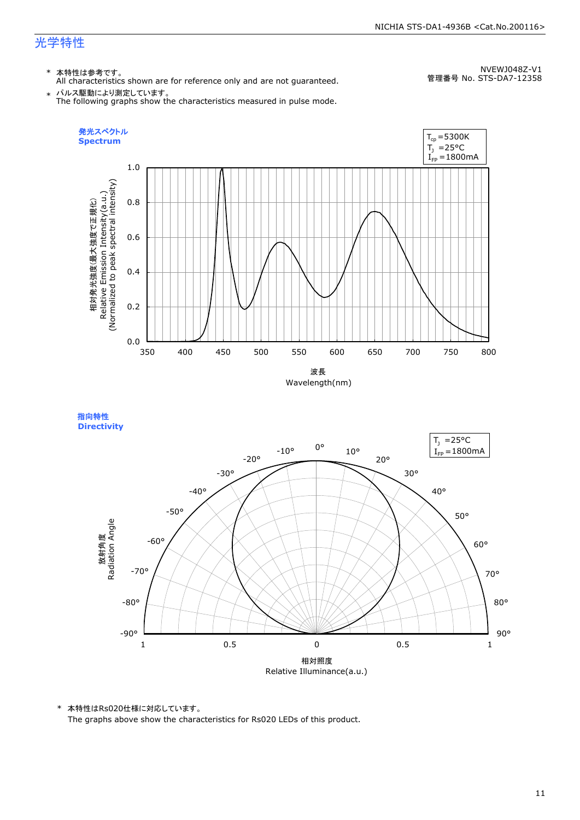#### NICHIA STS-DA1-4936B <Cat.No.200116>

### 光学特性

### \* 本特性は参考です。

All characteristics shown are for reference only and are not guaranteed.

NVEWJ048Z-V1 管理番号 No. STS-DA7-12358

 $\;\ast\;$  パルス駆動により測定しています。<br>The following graphs show the characteristics measured in pulse mode.



指向特性 **Directivity** 



\* 本特性はRs020仕様に対応しています。

The graphs above show the characteristics for Rs020 LEDs of this product.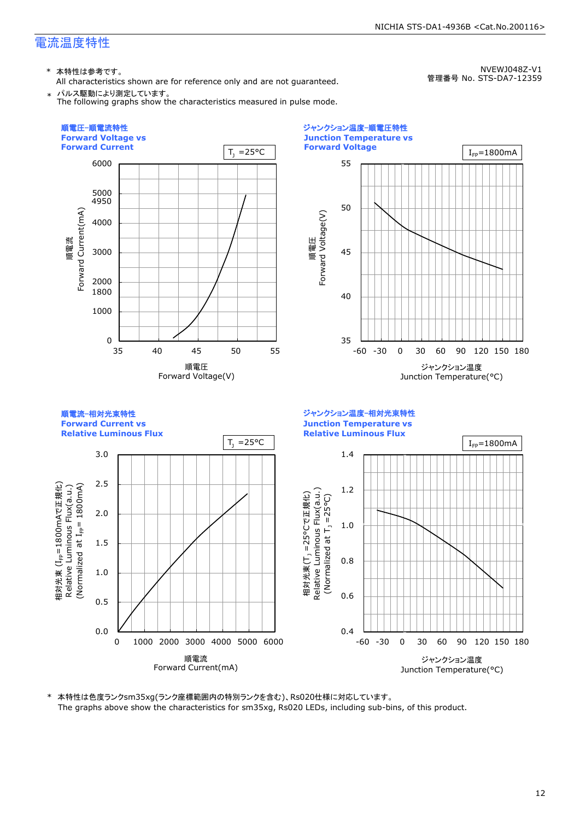\* 本特性は参考です。

All characteristics shown are for reference only and are not guaranteed.

NVEWJ048Z-V1 管理番号 No. STS-DA7-12359

\* パルス駆動により測定しています。 The following graphs show the characteristics measured in pulse mode.



\* 本特性は色度ランクsm35xg(ランク座標範囲内の特別ランクを含む)、Rs020仕様に対応しています。 The graphs above show the characteristics for sm35xg, Rs020 LEDs, including sub-bins, of this product.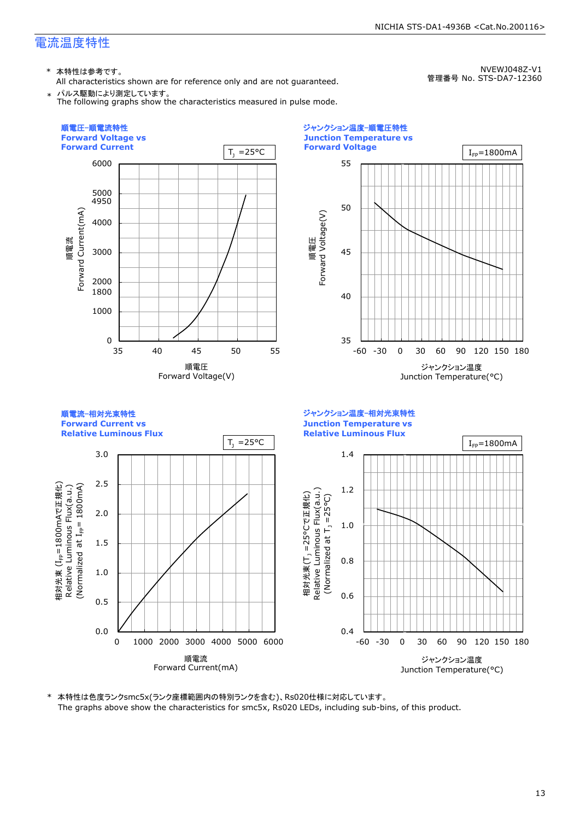\* 本特性は参考です。

順電圧-順電流特性

All characteristics shown are for reference only and are not guaranteed.

NVEWJ048Z-V1 管理番号 No. STS-DA7-12360





\* 本特性は色度ランクsmc5x(ランク座標範囲内の特別ランクを含む)、Rs020仕様に対応しています。 The graphs above show the characteristics for smc5x, Rs020 LEDs, including sub-bins, of this product.

ジャンクション温度-順電圧特性

**Junction Temperature vs**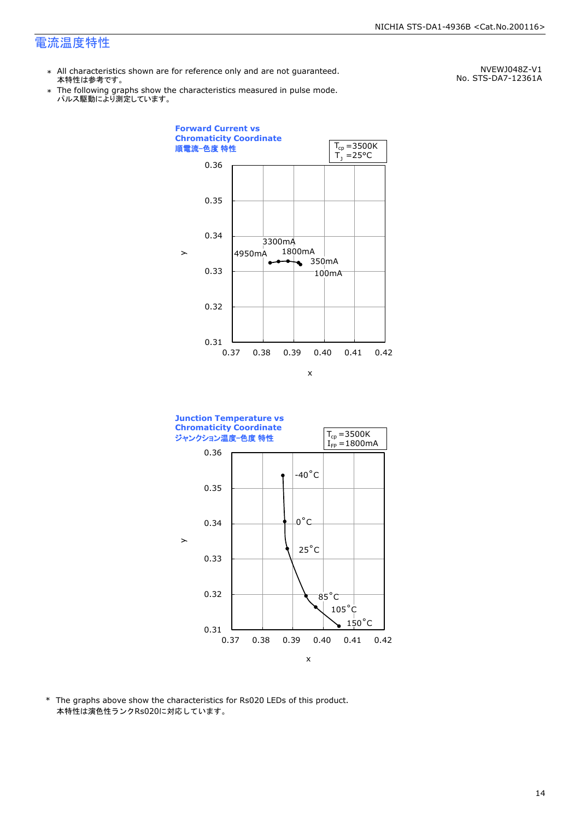- \* All characteristics shown are for reference only and are not guaranteed. 本特性は参考です。
- \* Ine following graphs show th<br>、パルス駆動により測定しています。 The following graphs show the characteristics measured in pulse mode.

NVEWJ048Z-V1 No. STS-DA7-12361A





\* The graphs above show the characteristics for Rs020 LEDs of this product. 本特性は演色性ランクRs020に対応しています。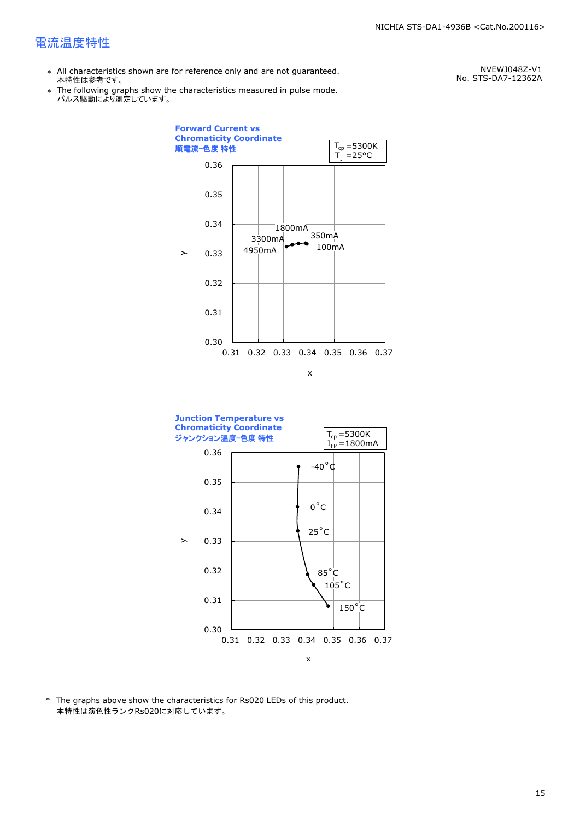- \* All characteristics shown are for reference only and are not guaranteed. 本特性は参考です。
- \* Ine following graphs show th<br>、パルス駆動により測定しています。 The following graphs show the characteristics measured in pulse mode.

NVEWJ048Z-V1 No. STS-DA7-12362A





\* The graphs above show the characteristics for Rs020 LEDs of this product. 本特性は演色性ランクRs020に対応しています。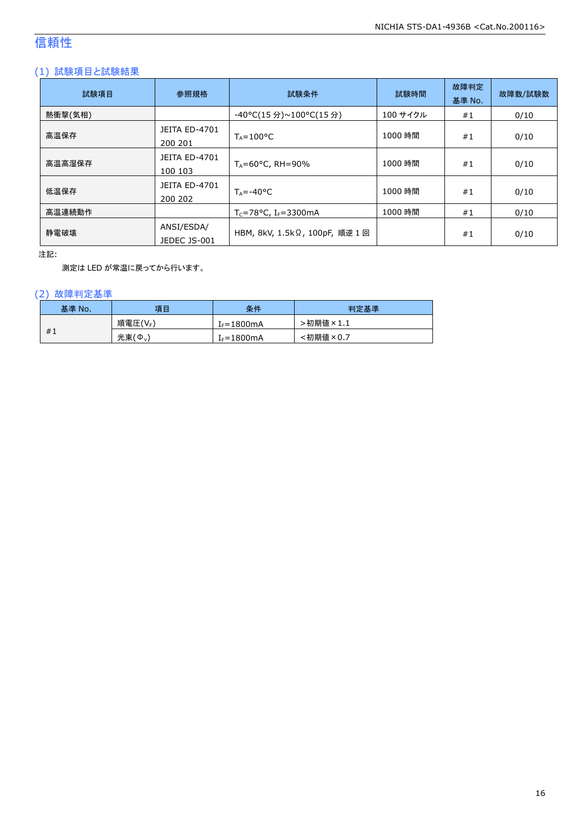### 信頼性

### (1) 試験項目と試験結果

| 試験項目    | 参照規格                            | 試験条件                                  | 試験時間     | 故障判定<br>基準 No. | 故障数/試験数 |
|---------|---------------------------------|---------------------------------------|----------|----------------|---------|
| 熱衝撃(気相) |                                 | -40°C(15 分)~100°C(15 分)               | 100 サイクル | #1             | 0/10    |
| 高温保存    | <b>JEITA ED-4701</b><br>200 201 | $T_A = 100^{\circ}C$                  | 1000 時間  | #1             | 0/10    |
| 高温高湿保存  | <b>JEITA ED-4701</b><br>100 103 | $T_A = 60^{\circ}$ C, RH = 90%        | 1000 時間  | #1             | 0/10    |
| 低温保存    | JEITA ED-4701<br>200 202        | $T_{\text{A}} = -40^{\circ}C$         | 1000 時間  | #1             | 0/10    |
| 高温連続動作  |                                 | $T_c = 78$ °C, I <sub>F</sub> =3300mA | 1000 時間  | #1             | 0/10    |
| 静電破壊    | ANSI/ESDA/<br>JEDEC JS-001      | HBM, 8kV, 1.5kΩ, 100pF, 順逆 1回         |          | #1             | 0/10    |

注記:

測定は LED が常温に戻ってから行います。

### (2) 故障判定基準

| 基準 No. | 項目              | 条件                     | 判定基準     |
|--------|-----------------|------------------------|----------|
|        | 順電圧(VF)         | I <sub>F</sub> =1800mA | ·初期値×1.1 |
| #1     | 光束 $(\Phi_{v})$ | $I_F = 1800mA$         | :初期値×0.7 |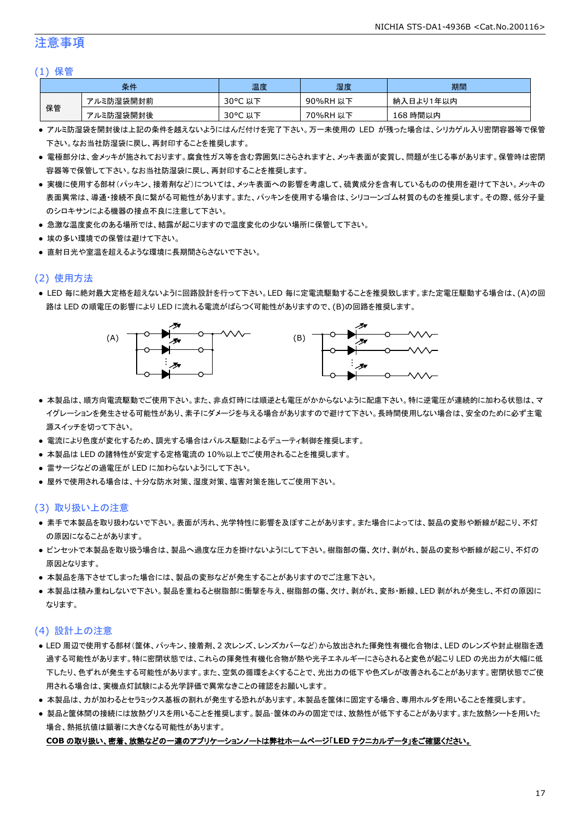### 注意事項

#### (1) 保管

|    | 条件        | 温度         | 湿度       | 期間        |
|----|-----------|------------|----------|-----------|
|    | アルミ防湿袋開封前 | 30°C<br>以下 | 90%RH 以下 | 納入日より1年以内 |
| 保管 | アルミ防湿袋開封後 | 30°C 以下    | 70%RH 以下 | 168 時間以内  |

- アルミ防湿袋を開封後は上記の条件を越えないようにはんだ付けを完了下さい。万一未使用の LED が残った場合は、シリカゲル入り密閉容器等で保管 下さい。なお当社防湿袋に戻し、再封印することを推奨します。
- 電極部分は、金メッキが施されております。腐食性ガス等を含む雰囲気にさらされますと、メッキ表面が変質し、問題が生じる事があります。保管時は密閉 容器等で保管して下さい。なお当社防湿袋に戻し、再封印することを推奨します。
- 実機に使用する部材(パッキン、接着剤など)については、メッキ表面への影響を考慮して、硫黄成分を含有しているものの使用を避けて下さい。メッキの 表面異常は、導通・接続不良に繋がる可能性があります。また、パッキンを使用する場合は、シリコーンゴム材質のものを推奨します。その際、低分子量 のシロキサンによる機器の接点不良に注意して下さい。
- 急激な温度変化のある場所では、結露が起こりますので温度変化の少ない場所に保管して下さい。
- 埃の多い環境での保管は避けて下さい。
- 直射日光や室温を超えるような環境に長期間さらさないで下さい。

### (2) 使用方法

● LED 毎に絶対最大定格を超えないように回路設計を行って下さい。LED 毎に定電流駆動することを推奨致します。また定電圧駆動する場合は、(A)の回 路は LED の順電圧の影響により LED に流れる電流がばらつく可能性がありますので、(B)の回路を推奨します。



- 本製品は、順方向電流駆動でご使用下さい。また、非点灯時には順逆とも電圧がかからないように配慮下さい。特に逆電圧が連続的に加わる状態は、マ イグレーションを発生させる可能性があり、素子にダメージを与える場合がありますので避けて下さい。長時間使用しない場合は、安全のために必ず主電 源スイッチを切って下さい。
- 電流により色度が変化するため、調光する場合はパルス駆動によるデューティ制御を推奨します。
- 本製品は LED の諸特性が安定する定格電流の 10%以上でご使用されることを推奨します。
- 雷サージなどの過電圧が LED に加わらないようにして下さい。
- 屋外で使用される場合は、十分な防水対策、湿度対策、塩害対策を施してご使用下さい。

### (3) 取り扱い上の注意

- 素手で本製品を取り扱わないで下さい。表面が汚れ、光学特性に影響を及ぼすことがあります。また場合によっては、製品の変形や断線が起こり、不灯 の原因になることがあります。
- ピンセットで本製品を取り扱う場合は、製品へ過度な圧力を掛けないようにして下さい。樹脂部の傷、欠け、剥がれ、製品の変形や断線が起こり、不灯の 原因となります。
- 本製品を落下させてしまった場合には、製品の変形などが発生することがありますのでご注意下さい。
- 本製品は積み重ねしないで下さい。製品を重ねると樹脂部に衝撃を与え、樹脂部の傷、欠け、剥がれ、変形・断線、LED 剥がれが発生し、不灯の原因に なります。

### (4) 設計上の注意

- LED 周辺で使用する部材(筐体、パッキン、接着剤、2 次レンズ、レンズカバーなど)から放出された揮発性有機化合物は、LED のレンズや封止樹脂を透 過する可能性があります。特に密閉状態では、これらの揮発性有機化合物が熱や光子エネルギーにさらされると変色が起こり LED の光出力が大幅に低 下したり、色ずれが発生する可能性があります。また、空気の循環をよくすることで、光出力の低下や色ズレが改善されることがあります。密閉状態でご使 用される場合は、実機点灯試験による光学評価で異常なきことの確認をお願いします。
- 本製品は、カが加わるとセラミックス基板の割れが発生する恐れがあります。本製品を筐体に固定する場合、専用ホルダを用いることを推奨します。
- 製品と筐体間の接続には放熱グリスを用いることを推奨します。製品・筐体のみの固定では、放熱性が低下することがあります。また放熱シートを用いた 場合、熱抵抗値は顕著に大きくなる可能性があります。

#### **COB** の取り扱い、密着、放熱などの一連のアプリケーションノートは弊社ホームページ「**LED** テクニカルデータ」をご確認ください。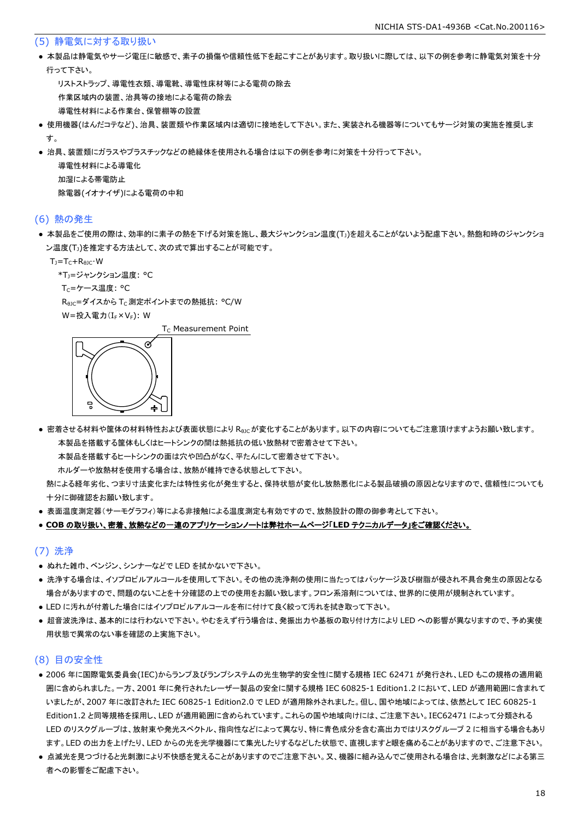#### (5) 静電気に対する取り扱い

● 本製品は静電気やサージ電圧に敏感で、素子の損傷や信頼性低下を起こすことがあります。取り扱いに際しては、以下の例を参考に静電気対策を十分 行って下さい。

 リストストラップ、導電性衣類、導電靴、導電性床材等による電荷の除去 作業区域内の装置、治具等の接地による電荷の除去 導電性材料による作業台、保管棚等の設置

- 使用機器(はんだコテなど)、治具、装置類や作業区域内は適切に接地をして下さい。また、実装される機器等についてもサージ対策の実施を推奨しま す。
- 治具、装置類にガラスやプラスチックなどの絶縁体を使用される場合は以下の例を参考に対策を十分行って下さい。

 導電性材料による導電化 加湿による帯電防止 除電器(イオナイザ)による電荷の中和

#### (6) 熱の発生

● 本製品をご使用の際は、効率的に素子の熱を下げる対策を施し、最大ジャンクション温度(T」)を超えることがないよう配慮下さい。熱飽和時のジャンクショ ン温度(T」)を推定する方法として、次の式で算出することが可能です。

 $T_1 = T_C + R_{B1C} \cdot W$ 

\*T<sub>1</sub>=ジャンクション温度: °C

Tc=ケース温度: °C

R<sub>0JC</sub>=ダイスから T<sub>C</sub> 測定ポイントまでの熱抵抗: °C/W

W=投入電力(I<sub>F</sub>×V<sub>F</sub>): W

 $T_c$  Measurement Point



● 密着させる材料や筐体の材料特性および表面状態により Reicが変化することがあります。以下の内容についてもご注意頂けますようお願い致します。 本製品を搭載する筐体もしくはヒートシンクの間は熱抵抗の低い放熱材で密着させて下さい。

本製品を搭載するヒートシンクの面は穴や凹凸がなく、平たんにして密着させて下さい。

ホルダーや放熱材を使用する場合は、放熱が維持できる状態として下さい。

 熱による経年劣化、つまり寸法変化または特性劣化が発生すると、保持状態が変化し放熱悪化による製品破損の原因となりますので、信頼性についても 十分に御確認をお願い致します。

● 表面温度測定器(サーモグラフィ)等による非接触による温度測定も有効ですので、放熱設計の際の御参考として下さい。

#### ● **COB** の取り扱い、密着、放熱などの一連のアプリケーションノートは弊社ホームページ「**LED** テクニカルデータ」をご確認ください。

#### (7) 洗浄

- ぬれた雑巾、ベンジン、シンナーなどで LED を拭かないで下さい。
- 洗浄する場合は、イソプロピルアルコールを使用して下さい。その他の洗浄剤の使用に当たってはパッケージ及び樹脂が侵され不具合発生の原因となる 場合がありますので、問題のないことを十分確認の上での使用をお願い致します。フロン系溶剤については、世界的に使用が規制されています。
- LED に汚れが付着した場合にはイソプロピルアルコールを布に付けて良く絞って汚れを拭き取って下さい。
- 超音波洗浄は、基本的には行わないで下さい。やむをえず行う場合は、発振出力や基板の取り付け方により LED への影響が異なりますので、予め実使 用状態で異常のない事を確認の上実施下さい。

### (8) 目の安全性

- 2006 年に国際電気委員会(IEC)からランプ及びランプシステムの光生物学的安全性に関する規格 IEC 62471 が発行され、LED もこの規格の適用範 囲に含められました。一方、2001 年に発行されたレーザー製品の安全に関する規格 IEC 60825-1 Edition1.2 において、LED が適用範囲に含まれて いましたが、2007 年に改訂された IEC 60825-1 Edition2.0 で LED が適用除外されました。但し、国や地域によっては、依然として IEC 60825-1 Edition1.2 と同等規格を採用し、LED が適用範囲に含められています。これらの国や地域向けには、ご注意下さい。IEC62471 によって分類される LED のリスクグループは、放射束や発光スペクトル、指向性などによって異なり、特に青色成分を含む高出力ではリスクグループ 2 に相当する場合もあり ます。LED の出力を上げたり、LED からの光を光学機器にて集光したりするなどした状態で、直視しますと眼を痛めることがありますので、ご注意下さい。
- 点滅光を見つづけると光刺激により不快感を覚えることがありますのでご注意下さい。又、機器に組み込んでご使用される場合は、光刺激などによる第三 者への影響をご配慮下さい。